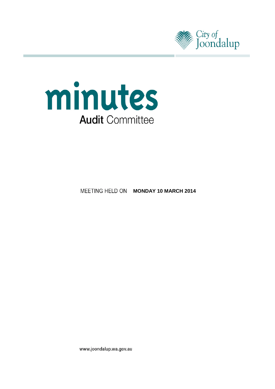



**MEETING HELD ON MONDAY 10 MARCH 2014** 

www.joondalup.wa.gov.au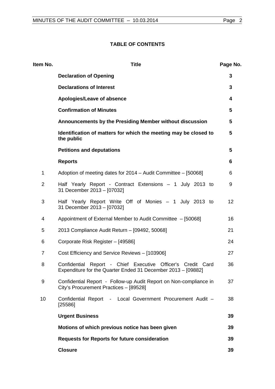## **TABLE OF CONTENTS**

| Item No.       | <b>Title</b>                                                                                                                | Page No.        |
|----------------|-----------------------------------------------------------------------------------------------------------------------------|-----------------|
|                | <b>Declaration of Opening</b>                                                                                               | 3               |
|                | <b>Declarations of Interest</b>                                                                                             | 3               |
|                | Apologies/Leave of absence                                                                                                  | 4               |
|                | <b>Confirmation of Minutes</b>                                                                                              | 5               |
|                | Announcements by the Presiding Member without discussion                                                                    | $5\phantom{.0}$ |
|                | Identification of matters for which the meeting may be closed to<br>the public                                              | $5\phantom{.0}$ |
|                | <b>Petitions and deputations</b>                                                                                            | $5\phantom{.0}$ |
|                | <b>Reports</b>                                                                                                              | 6               |
| 1              | Adoption of meeting dates for 2014 - Audit Committee - [50068]                                                              | 6               |
| $\overline{2}$ | Half Yearly Report - Contract Extensions - 1 July 2013 to<br>31 December 2013 - [07032]                                     | 9               |
| 3              | Half Yearly Report Write Off of Monies - 1 July 2013 to<br>31 December 2013 - [07032]                                       | 12              |
| 4              | Appointment of External Member to Audit Committee - [50068]                                                                 | 16              |
| 5              | 2013 Compliance Audit Return - [09492, 50068]                                                                               | 21              |
| 6              | Corporate Risk Register - [49586]                                                                                           | 24              |
| $\overline{7}$ | Cost Efficiency and Service Reviews - [103906]                                                                              | 27              |
| 8              | Confidential Report - Chief Executive Officer's Credit Card<br>Expenditure for the Quarter Ended 31 December 2013 - [09882] | 36              |
| 9              | Confidential Report - Follow-up Audit Report on Non-compliance in<br>City's Procurement Practices - [89528]                 | 37              |
| 10             | Confidential Report - Local Government Procurement Audit -<br>[25586]                                                       | 38              |
|                | <b>Urgent Business</b>                                                                                                      | 39              |
|                | Motions of which previous notice has been given                                                                             | 39              |
|                | <b>Requests for Reports for future consideration</b>                                                                        | 39              |
|                | <b>Closure</b>                                                                                                              | 39              |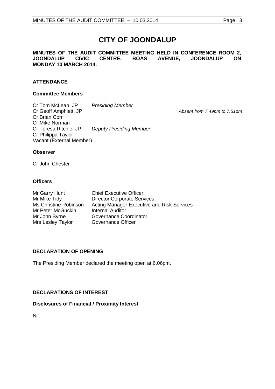# **CITY OF JOONDALUP**

**MINUTES OF THE AUDIT COMMITTEE MEETING HELD IN CONFERENCE ROOM 2, JOONDALUP MONDAY 10 MARCH 2014.**

## **ATTENDANCE**

#### **Committee Members**

Cr Tom McLean, JP *Presiding Member* Cr Brian Corr Cr Mike Norman<br>Cr Teresa Ritchie, JP **Deputy Presiding Member** Cr Philippa Taylor Vacant (External Member)

Absent from 7.49pm to 7.51pm

#### **Observer**

Cr John Chester

#### **Officers**

| Mr Garry Hunt         | <b>Chief Executive Officer</b>                    |
|-----------------------|---------------------------------------------------|
| Mr Mike Tidy          | <b>Director Corporate Services</b>                |
| Ms Christine Robinson | <b>Acting Manager Executive and Risk Services</b> |
| Mr Peter McGuckin     | <b>Internal Auditor</b>                           |
| Mr John Byrne         | Governance Coordinator                            |
| Mrs Lesley Taylor     | Governance Officer                                |

## <span id="page-2-0"></span>**DECLARATION OF OPENING**

The Presiding Member declared the meeting open at 6.06pm.

## <span id="page-2-1"></span>**DECLARATIONS OF INTEREST**

## **Disclosures of Financial / Proximity Interest**

Nil.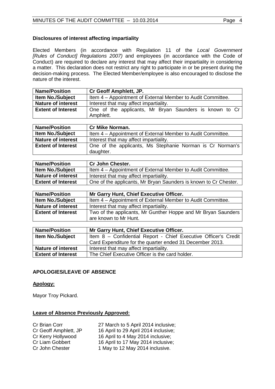## **Disclosures of interest affecting impartiality**

Elected Members (in accordance with Regulation 11 of the *Local Government [Rules of Conduct] Regulations 2007)* and employees (in accordance with the Code of Conduct) are required to declare any interest that may affect their impartiality in considering a matter. This declaration does not restrict any right to participate in or be present during the decision-making process. The Elected Member/employee is also encouraged to disclose the nature of the interest.

| <b>Name/Position</b>      | <b>Cr Geoff Amphlett, JP.</b>                               |  |
|---------------------------|-------------------------------------------------------------|--|
| <b>Item No./Subject</b>   | Item 4 - Appointment of External Member to Audit Committee. |  |
| <b>Nature of interest</b> | Interest that may affect impartiality.                      |  |
| <b>Extent of Interest</b> | One of the applicants, Mr Bryan Saunders is known to Cr     |  |
|                           | Amphlett.                                                   |  |

| <b>Name/Position</b>      | <b>Cr Mike Norman.</b>                                                 |  |
|---------------------------|------------------------------------------------------------------------|--|
| <b>Item No./Subject</b>   | Item 4 – Appointment of External Member to Audit Committee.            |  |
| <b>Nature of interest</b> | Interest that may affect impartiality.                                 |  |
| <b>Extent of Interest</b> | One of the applicants, Ms Stephanie Norman is Cr Norman's<br>daughter. |  |

| <b>Name/Position</b>      | <b>Cr John Chester.</b>                                          |  |
|---------------------------|------------------------------------------------------------------|--|
| <b>Item No./Subject</b>   | Item 4 – Appointment of External Member to Audit Committee.      |  |
| <b>Nature of interest</b> | Interest that may affect impartiality.                           |  |
| <b>Extent of Interest</b> | One of the applicants, Mr Bryan Saunders is known to Cr Chester. |  |

| <b>Name/Position</b>      | Mr Garry Hunt, Chief Executive Officer.                       |
|---------------------------|---------------------------------------------------------------|
| <b>Item No./Subject</b>   | Item 4 – Appointment of External Member to Audit Committee.   |
| <b>Nature of interest</b> | Interest that may affect impartiality.                        |
| <b>Extent of Interest</b> | Two of the applicants, Mr Gunther Hoppe and Mr Bryan Saunders |
|                           | are known to Mr Hunt.                                         |

| <b>Name/Position</b>      | Mr Garry Hunt, Chief Executive Officer.                         |  |
|---------------------------|-----------------------------------------------------------------|--|
| <b>Item No./Subject</b>   | Item 8 - Confidential Report - Chief Executive Officer's Credit |  |
|                           | Card Expenditure for the quarter ended 31 December 2013.        |  |
| <b>Nature of interest</b> | Interest that may affect impartiality.                          |  |
| <b>Extent of Interest</b> | The Chief Executive Officer is the card holder.                 |  |

## <span id="page-3-0"></span>**APOLOGIES/LEAVE OF ABSENCE**

## **Apology:**

Mayor Troy Pickard.

## **Leave of Absence Previously Approved:**

| Cr Brian Corr         |  |
|-----------------------|--|
| Cr Geoff Amphlett, JP |  |
| Cr Kerry Hollywood    |  |
| Cr Liam Gobbert       |  |
| Cr John Chester       |  |

27 March to 5 April 2014 inclusive; 16 April to 29 April 2014 inclusive; 16 April to 4 May 2014 inclusive; 16 April to 17 May 2014 inclusive; 1 May to 12 May 2014 inclusive.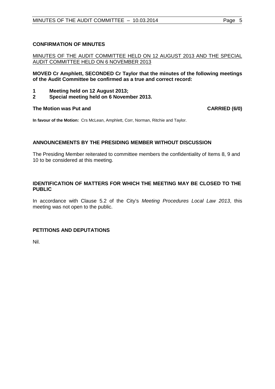## <span id="page-4-0"></span>**CONFIRMATION OF MINUTES**

## MINUTES OF THE AUDIT COMMITTEE HELD ON 12 AUGUST 2013 AND THE SPECIAL AUDIT COMMITTEE HELD ON 6 NOVEMBER 2013

**MOVED Cr Amphlett, SECONDED Cr Taylor that the minutes of the following meetings of the Audit Committee be confirmed as a true and correct record:**

- **1 Meeting held on 12 August 2013;**
- **2 Special meeting held on 6 November 2013.**

#### **The Motion was Put and CARRIED (6/0)**

**In favour of the Motion:** Crs McLean, Amphlett, Corr, Norman, Ritchie and Taylor.

## <span id="page-4-1"></span>**ANNOUNCEMENTS BY THE PRESIDING MEMBER WITHOUT DISCUSSION**

The Presiding Member reiterated to committee members the confidentiality of Items 8, 9 and 10 to be considered at this meeting.

## <span id="page-4-2"></span>**IDENTIFICATION OF MATTERS FOR WHICH THE MEETING MAY BE CLOSED TO THE PUBLIC**

In accordance with Clause 5.2 of the City's *Meeting Procedures Local Law 2013*, this meeting was not open to the public.

## <span id="page-4-3"></span>**PETITIONS AND DEPUTATIONS**

Nil.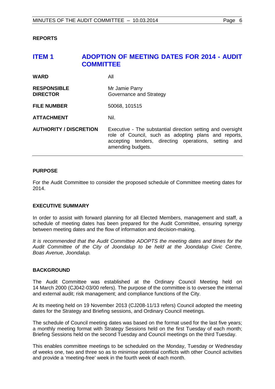#### <span id="page-5-0"></span>**REPORTS**

## <span id="page-5-1"></span>**ITEM 1 ADOPTION OF MEETING DATES FOR 2014 - AUDIT COMMITTEE**

| <b>WARD</b>                           | All                                                                                                                                                                                              |
|---------------------------------------|--------------------------------------------------------------------------------------------------------------------------------------------------------------------------------------------------|
| <b>RESPONSIBLE</b><br><b>DIRECTOR</b> | Mr Jamie Parry<br>Governance and Strategy                                                                                                                                                        |
| <b>FILE NUMBER</b>                    | 50068, 101515                                                                                                                                                                                    |
| <b>ATTACHMENT</b>                     | Nil.                                                                                                                                                                                             |
| <b>AUTHORITY / DISCRETION</b>         | Executive - The substantial direction setting and oversight<br>role of Council, such as adopting plans and reports,<br>accepting tenders, directing operations, setting and<br>amending budgets. |

#### **PURPOSE**

For the Audit Committee to consider the proposed schedule of Committee meeting dates for 2014.

#### **EXECUTIVE SUMMARY**

In order to assist with forward planning for all Elected Members, management and staff, a schedule of meeting dates has been prepared for the Audit Committee, ensuring synergy between meeting dates and the flow of information and decision-making.

*It is recommended that the Audit Committee ADOPTS the meeting dates and times for the Audit Committee of the City of Joondalup to be held at the Joondalup Civic Centre, Boas Avenue, Joondalup.*

#### **BACKGROUND**

The Audit Committee was established at the Ordinary Council Meeting held on 14 March 2000 (CJ042-03/00 refers). The purpose of the committee is to oversee the internal and external audit; risk management; and compliance functions of the City.

At its meeting held on 19 November 2013 (CJ208-11/13 refers) Council adopted the meeting dates for the Strategy and Briefing sessions, and Ordinary Council meetings.

The schedule of Council meeting dates was based on the format used for the last five years; a monthly meeting format with Strategy Sessions held on the first Tuesday of each month; Briefing Sessions held on the second Tuesday and Council meetings on the third Tuesday.

This enables committee meetings to be scheduled on the Monday, Tuesday or Wednesday of weeks one, two and three so as to minimise potential conflicts with other Council activities and provide a 'meeting-free' week in the fourth week of each month.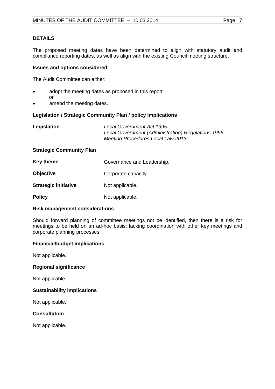## **DETAILS**

The proposed meeting dates have been determined to align with statutory audit and compliance reporting dates, as well as align with the existing Council meeting structure.

#### **Issues and options considered**

The Audit Committee can either:

- adopt the meeting dates as proposed in this report or
- amend the meeting dates.

#### **Legislation / Strategic Community Plan / policy implications**

| Legislation | Local Government Act 1995.<br>Local Government (Administration) Regulations 1996.<br>Meeting Procedures Local Law 2013. |
|-------------|-------------------------------------------------------------------------------------------------------------------------|
|             |                                                                                                                         |

#### **Strategic Community Plan**

| Key theme                   | Governance and Leadership.<br>Corporate capacity. |  |
|-----------------------------|---------------------------------------------------|--|
| <b>Objective</b>            |                                                   |  |
| <b>Strategic initiative</b> | Not applicable.                                   |  |
| <b>Policy</b>               | Not applicable.                                   |  |

#### **Risk management considerations**

Should forward planning of committee meetings not be identified, then there is a risk for meetings to be held on an ad-hoc basis; lacking coordination with other key meetings and corporate planning processes.

#### **Financial/budget implications**

Not applicable.

#### **Regional significance**

Not applicable.

#### **Sustainability implications**

Not applicable.

## **Consultation**

Not applicable.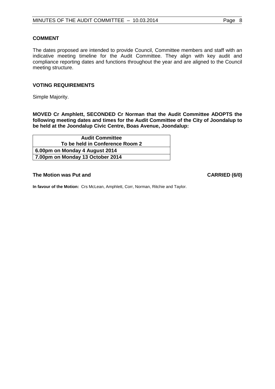## **COMMENT**

The dates proposed are intended to provide Council, Committee members and staff with an indicative meeting timeline for the Audit Committee. They align with key audit and compliance reporting dates and functions throughout the year and are aligned to the Council meeting structure.

## **VOTING REQUIREMENTS**

Simple Majority.

**MOVED Cr Amphlett, SECONDED Cr Norman that the Audit Committee ADOPTS the following meeting dates and times for the Audit Committee of the City of Joondalup to be held at the Joondalup Civic Centre, Boas Avenue, Joondalup:**

| <b>Audit Committee</b>           |
|----------------------------------|
| To be held in Conference Room 2  |
| 6.00pm on Monday 4 August 2014   |
| 7.00pm on Monday 13 October 2014 |

#### **The Motion was Put and CARRIED (6/0) CARRIED (6/0)**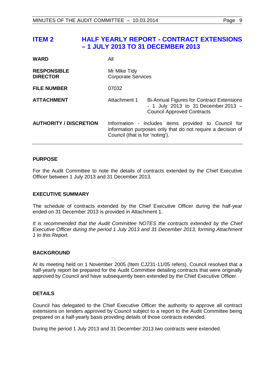## <span id="page-8-0"></span>**ITEM 2 HALF YEARLY REPORT - CONTRACT EXTENSIONS – 1 JULY 2013 TO 31 DECEMBER 2013**

| <b>WARD</b>                           | All                                                                                                                                                    |                                                                                                                                |
|---------------------------------------|--------------------------------------------------------------------------------------------------------------------------------------------------------|--------------------------------------------------------------------------------------------------------------------------------|
| <b>RESPONSIBLE</b><br><b>DIRECTOR</b> | Mr Mike Tidy<br><b>Corporate Services</b>                                                                                                              |                                                                                                                                |
| <b>FILE NUMBER</b>                    | 07032                                                                                                                                                  |                                                                                                                                |
| <b>ATTACHMENT</b>                     | Attachment 1                                                                                                                                           | <b>Bi-Annual Figures for Contract Extensions</b><br>- 1 July 2013 to 31 December 2013 $-$<br><b>Council Approved Contracts</b> |
| <b>AUTHORITY / DISCRETION</b>         | Information - includes items provided to Council for<br>information purposes only that do not require a decision of<br>Council (that is for 'noting'). |                                                                                                                                |

## **PURPOSE**

For the Audit Committee to note the details of contracts extended by the Chief Executive Officer between 1 July 2013 and 31 December 2013.

#### **EXECUTIVE SUMMARY**

The schedule of contracts extended by the Chief Executive Officer during the half-year ended on 31 December 2013 is provided in Attachment 1.

*It is recommended that the Audit Committee NOTES the contracts extended by the Chief Executive Officer during the period 1 July 2013 and 31 December 2013, forming Attachment 1 to this Report.*

## **BACKGROUND**

At its meeting held on 1 November 2005 (Item CJ231-11/05 refers), Council resolved that a half-yearly report be prepared for the Audit Committee detailing contracts that were originally approved by Council and have subsequently been extended by the Chief Executive Officer.

#### **DETAILS**

Council has delegated to the Chief Executive Officer the authority to approve all contract extensions on tenders approved by Council subject to a report to the Audit Committee being prepared on a half-yearly basis providing details of those contracts extended.

During the period 1 July 2013 and 31 December 2013 two contracts were extended.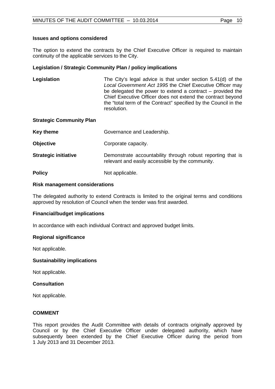## **Issues and options considered**

The option to extend the contracts by the Chief Executive Officer is required to maintain continuity of the applicable services to the City.

## **Legislation / Strategic Community Plan / policy implications**

**Legislation** The City's legal advice is that under section 5.41(d) of the *Local Government Act 1995* the Chief Executive Officer may be delegated the power to extend a contract – provided the Chief Executive Officer does not extend the contract beyond the "total term of the Contract" specified by the Council in the resolution.

#### **Strategic Community Plan**

| Key theme                   | Governance and Leadership.                                                                                      |
|-----------------------------|-----------------------------------------------------------------------------------------------------------------|
| <b>Objective</b>            | Corporate capacity.                                                                                             |
| <b>Strategic initiative</b> | Demonstrate accountability through robust reporting that is<br>relevant and easily accessible by the community. |
| <b>Policy</b>               | Not applicable.                                                                                                 |

#### **Risk management considerations**

The delegated authority to extend Contracts is limited to the original terms and conditions approved by resolution of Council when the tender was first awarded.

## **Financial/budget implications**

In accordance with each individual Contract and approved budget limits.

## **Regional significance**

Not applicable.

## **Sustainability implications**

Not applicable.

## **Consultation**

Not applicable.

## **COMMENT**

This report provides the Audit Committee with details of contracts originally approved by Council or by the Chief Executive Officer under delegated authority, which have subsequently been extended by the Chief Executive Officer during the period from 1 July 2013 and 31 December 2013.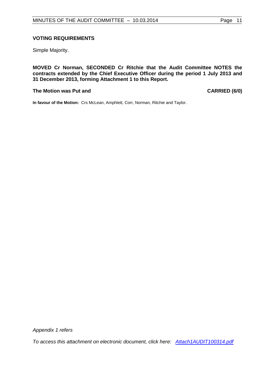Simple Majority.

**MOVED Cr Norman, SECONDED Cr Ritchie that the Audit Committee NOTES the contracts extended by the Chief Executive Officer during the period 1 July 2013 and 31 December 2013, forming Attachment 1 to this Report.**

#### The Motion was Put and **CARRIED** (6/0)

**In favour of the Motion:** Crs McLean, Amphlett, Corr, Norman, Ritchie and Taylor.

*Appendix 1 refers*

*[To access this attachment on electronic document, click here: Attach1AUDIT100314.pdf](Attach1AUDIT100314.pdf)*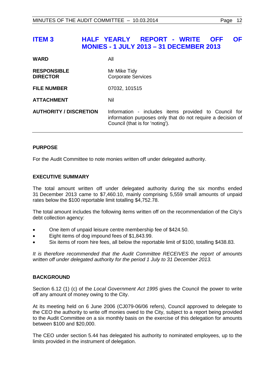## <span id="page-11-0"></span>**ITEM 3 HALF YEARLY REPORT - WRITE OFF OF MONIES - 1 JULY 2013 – 31 DECEMBER 2013**

| <b>WARD</b>                           | All                                                                                                                                                    |
|---------------------------------------|--------------------------------------------------------------------------------------------------------------------------------------------------------|
| <b>RESPONSIBLE</b><br><b>DIRECTOR</b> | Mr Mike Tidy<br><b>Corporate Services</b>                                                                                                              |
| <b>FILE NUMBER</b>                    | 07032, 101515                                                                                                                                          |
| <b>ATTACHMENT</b>                     | Nil                                                                                                                                                    |
| <b>AUTHORITY / DISCRETION</b>         | Information - includes items provided to Council for<br>information purposes only that do not require a decision of<br>Council (that is for 'noting'). |

## **PURPOSE**

For the Audit Committee to note monies written off under delegated authority.

## **EXECUTIVE SUMMARY**

The total amount written off under delegated authority during the six months ended 31 December 2013 came to \$7,460.10, mainly comprising 5,559 small amounts of unpaid rates below the \$100 reportable limit totalling \$4,752.78.

The total amount includes the following items written off on the recommendation of the City's debt collection agency:

- One item of unpaid leisure centre membership fee of \$424.50.
- Eight items of dog impound fees of \$1,843.99.
- Six items of room hire fees, all below the reportable limit of \$100, totalling \$438.83.

*It is therefore recommended that the Audit Committee RECEIVES the report of amounts written off under delegated authority for the period 1 July to 31 December 2013.*

## **BACKGROUND**

Section 6.12 (1) (c) of the *Local Government Act 1995* gives the Council the power to write off any amount of money owing to the City.

At its meeting held on 6 June 2006 (CJ079-06/06 refers), Council approved to delegate to the CEO the authority to write off monies owed to the City, subject to a report being provided to the Audit Committee on a six monthly basis on the exercise of this delegation for amounts between \$100 and \$20,000.

The CEO under section 5.44 has delegated his authority to nominated employees, up to the limits provided in the instrument of delegation.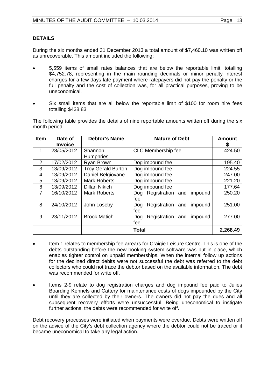## **DETAILS**

During the six months ended 31 December 2013 a total amount of \$7,460.10 was written off as unrecoverable. This amount included the following:

- 5,559 items of small rates balances that are below the reportable limit, totalling \$4,752.78, representing in the main rounding decimals or minor penalty interest charges for a few days late payment where ratepayers did not pay the penalty or the full penalty and the cost of collection was, for all practical purposes, proving to be uneconomical.
- Six small items that are all below the reportable limit of \$100 for room hire fees totalling \$438.83.

The following table provides the details of nine reportable amounts written off during the six month period.

| <b>Item</b>    | Date of<br><b>Invoice</b> | <b>Debtor's Name</b>        | <b>Nature of Debt</b>                     | <b>Amount</b><br>\$ |
|----------------|---------------------------|-----------------------------|-------------------------------------------|---------------------|
| 1              | 28/05/2012                | Shannon<br><b>Humphries</b> | <b>CLC</b> Membership fee                 | 424.50              |
| 2              | 17/02/2012                | Ryan Brown                  | Dog impound fee                           | 195.40              |
| 3              | 13/09/2012                | <b>Troy Gerald Burton</b>   | Dog impound fee                           | 224.55              |
| 4              | 13/09/2012                | Daniel Belgiovane           | Dog impound fee                           | 247.00              |
| 5              | 13/09/2012                | <b>Mark Roberts</b>         | Dog impound fee                           | 221.20              |
| 6              | 13/09/2012                | <b>Dillan Nikich</b>        | Dog impound fee                           | 177.64              |
| $\overline{7}$ | 16/10/2012                | <b>Mark Roberts</b>         | Registration and<br>impound<br>Dog<br>fee | 250.20              |
| 8              | 24/10/2012                | John Loseby                 | Registration and<br>impound<br>Dog<br>fee | 251.00              |
| 9              | 23/11/2012                | <b>Brook Matich</b>         | Registration and<br>Dog<br>impound<br>fee | 277.00              |
|                |                           |                             | <b>Total</b>                              | 2,268.49            |

- Item 1 relates to membership fee arrears for Craigie Leisure Centre. This is one of the debts outstanding before the new booking system software was put in place, which enables tighter control on unpaid memberships. When the internal follow up actions for the declined direct debits were not successful the debt was referred to the debt collectors who could not trace the debtor based on the available information. The debt was recommended for write off.
- Items 2-9 relate to dog registration charges and dog impound fee paid to Julies Boarding Kennels and Cattery for maintenance costs of dogs impounded by the City until they are collected by their owners. The owners did not pay the dues and all subsequent recovery efforts were unsuccessful. Being uneconomical to instigate further actions, the debts were recommended for write off.

Debt recovery processes were initiated when payments were overdue. Debts were written off on the advice of the City's debt collection agency where the debtor could not be traced or it became uneconomical to take any legal action.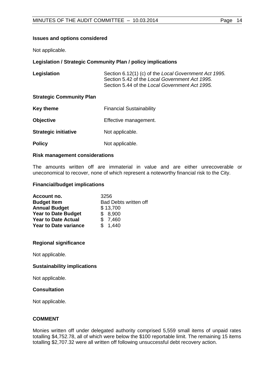## **Issues and options considered**

Not applicable.

## **Legislation / Strategic Community Plan / policy implications**

| Legislation                     | Section 6.12(1) (c) of the Local Government Act 1995.<br>Section 5.42 of the Local Government Act 1995.<br>Section 5.44 of the Local Government Act 1995. |
|---------------------------------|-----------------------------------------------------------------------------------------------------------------------------------------------------------|
| <b>Strategic Community Plan</b> |                                                                                                                                                           |
| Key theme                       | <b>Financial Sustainability</b>                                                                                                                           |
| <b>Objective</b>                | Effective management.                                                                                                                                     |
| <b>Strategic initiative</b>     | Not applicable.                                                                                                                                           |

**Policy** Not applicable.

#### **Risk management considerations**

The amounts written off are immaterial in value and are either unrecoverable or uneconomical to recover, none of which represent a noteworthy financial risk to the City.

#### **Financial/budget implications**

| Account no.                  | 3256                         |
|------------------------------|------------------------------|
| <b>Budget Item</b>           | <b>Bad Debts written off</b> |
| <b>Annual Budget</b>         | \$13,700                     |
| <b>Year to Date Budget</b>   | \$8,900                      |
| <b>Year to Date Actual</b>   | \$7,460                      |
| <b>Year to Date variance</b> | \$1,440                      |

## **Regional significance**

Not applicable.

## **Sustainability implications**

Not applicable.

## **Consultation**

Not applicable.

## **COMMENT**

Monies written off under delegated authority comprised 5,559 small items of unpaid rates totalling \$4,752.78, all of which were below the \$100 reportable limit. The remaining 15 items totalling \$2,707.32 were all written off following unsuccessful debt recovery action.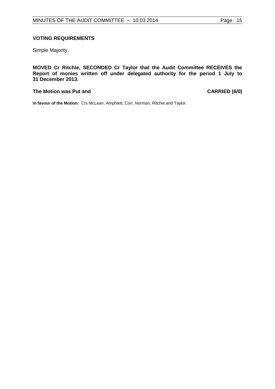## **VOTING REQUIREMENTS**

Simple Majority.

**MOVED Cr Ritchie, SECONDED Cr Taylor that the Audit Committee RECEIVES the Report of monies written off under delegated authority for the period 1 July to 31 December 2013.**

#### The Motion was Put and **CARRIED** (6/0)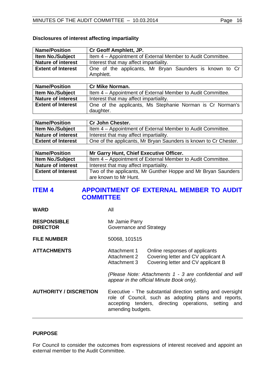## **Disclosures of interest affecting impartiality**

| <b>Name/Position</b>      | Cr Geoff Amphlett, JP.                                               |  |
|---------------------------|----------------------------------------------------------------------|--|
| <b>Item No./Subject</b>   | Item 4 - Appointment of External Member to Audit Committee.          |  |
| <b>Nature of interest</b> | Interest that may affect impartiality.                               |  |
| <b>Extent of Interest</b> | One of the applicants, Mr Bryan Saunders is known to Cr<br>Amphlett. |  |

| <b>Name/Position</b>      | <b>Cr Mike Norman.</b>                                      |
|---------------------------|-------------------------------------------------------------|
| <b>Item No./Subject</b>   | Item 4 – Appointment of External Member to Audit Committee. |
| <b>Nature of interest</b> | Interest that may affect impartiality.                      |
| <b>Extent of Interest</b> | One of the applicants, Ms Stephanie Norman is Cr Norman's   |
|                           | daughter.                                                   |

| <b>Name/Position</b>      | <b>Cr John Chester.</b>                                          |
|---------------------------|------------------------------------------------------------------|
| <b>Item No./Subject</b>   | Item 4 - Appointment of External Member to Audit Committee.      |
| <b>Nature of interest</b> | Interest that may affect impartiality.                           |
| <b>Extent of Interest</b> | One of the applicants, Mr Bryan Saunders is known to Cr Chester. |

| <b>Name/Position</b>      | Mr Garry Hunt, Chief Executive Officer.                       |
|---------------------------|---------------------------------------------------------------|
| <b>Item No./Subject</b>   | Item 4 - Appointment of External Member to Audit Committee.   |
| <b>Nature of interest</b> | Interest that may affect impartiality.                        |
| <b>Extent of Interest</b> | Two of the applicants, Mr Gunther Hoppe and Mr Bryan Saunders |
|                           | are known to Mr Hunt.                                         |

## <span id="page-15-0"></span>**ITEM 4** APPOINTMENT OF EXTERNAL MEMBER TO AUDIT **COMMITTEE**

**WARD** All

| <b>RESPONSIBLE</b> | Mr Jamie Parry          |
|--------------------|-------------------------|
| <b>DIRECTOR</b>    | Governance and Strategy |

- **FILE NUMBER** 50068, 101515
- **ATTACHMENTS** Attachment 1 Online responses of applicants<br>Attachment 2 Covering letter and CV applicar Attachment 2 Covering letter and CV applicant A<br>Attachment 3 Covering letter and CV applicant B Covering letter and CV applicant B

*(Please Note: Attachments 1 - 3 are confidential and will appear in the official Minute Book only).*

**AUTHORITY / DISCRETION** Executive - The substantial direction setting and oversight role of Council, such as adopting plans and reports, accepting tenders, directing operations, setting and amending budgets.

## **PURPOSE**

For Council to consider the outcomes from expressions of interest received and appoint an external member to the Audit Committee.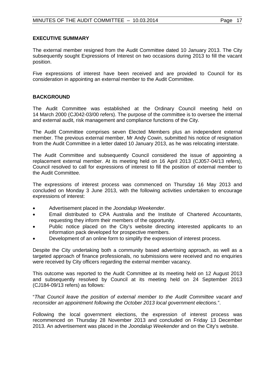## **EXECUTIVE SUMMARY**

The external member resigned from the Audit Committee dated 10 January 2013. The City subsequently sought Expressions of Interest on two occasions during 2013 to fill the vacant position.

Five expressions of interest have been received and are provided to Council for its consideration in appointing an external member to the Audit Committee.

## **BACKGROUND**

The Audit Committee was established at the Ordinary Council meeting held on 14 March 2000 (CJ042-03/00 refers). The purpose of the committee is to oversee the internal and external audit, risk management and compliance functions of the City.

The Audit Committee comprises seven Elected Members plus an independent external member. The previous external member, Mr Andy Cowin, submitted his notice of resignation from the Audit Committee in a letter dated 10 January 2013, as he was relocating interstate.

The Audit Committee and subsequently Council considered the issue of appointing a replacement external member. At its meeting held on 16 April 2013 (CJ057-04/13 refers), Council resolved to call for expressions of interest to fill the position of external member to the Audit Committee.

The expressions of interest process was commenced on Thursday 16 May 2013 and concluded on Monday 3 June 2013, with the following activities undertaken to encourage expressions of interest:

- Advertisement placed in the *Joondalup Weekender*.
- Email distributed to CPA Australia and the Institute of Chartered Accountants, requesting they inform their members of the opportunity.
- Public notice placed on the City's website directing interested applicants to an information pack developed for prospective members.
- Development of an online form to simplify the expression of interest process.

Despite the City undertaking both a community based advertising approach, as well as a targeted approach of finance professionals, no submissions were received and no enquiries were received by City officers regarding the external member vacancy.

This outcome was reported to the Audit Committee at its meeting held on 12 August 2013 and subsequently resolved by Council at its meeting held on 24 September 2013 (CJ184-09/13 refers) as follows:

"*That Council leave the position of external member to the Audit Committee vacant and reconsider an appointment following the October 2013 local government elections.*".

Following the local government elections, the expression of interest process was recommenced on Thursday 28 November 2013 and concluded on Friday 13 December 2013. An advertisement was placed in the *Joondalup Weekender* and on the City's website.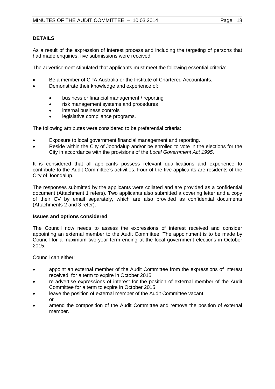## **DETAILS**

As a result of the expression of interest process and including the targeting of persons that had made enquiries, five submissions were received.

The advertisement stipulated that applicants must meet the following essential criteria:

- Be a member of CPA Australia or the Institute of Chartered Accountants.
- Demonstrate their knowledge and experience of:
	- business or financial management / reporting
	- risk management systems and procedures
	- internal business controls
	- legislative compliance programs.

The following attributes were considered to be preferential criteria:

- Exposure to local government financial management and reporting.
- Reside within the City of Joondalup and/or be enrolled to vote in the elections for the City in accordance with the provisions of the *Local Government Act 1995*.

It is considered that all applicants possess relevant qualifications and experience to contribute to the Audit Committee's activities. Four of the five applicants are residents of the City of Joondalup.

The responses submitted by the applicants were collated and are provided as a confidential document (Attachment 1 refers). Two applicants also submitted a covering letter and a copy of their CV by email separately, which are also provided as confidential documents (Attachments 2 and 3 refer).

## **Issues and options considered**

The Council now needs to assess the expressions of interest received and consider appointing an external member to the Audit Committee. The appointment is to be made by Council for a maximum two-year term ending at the local government elections in October 2015.

Council can either:

- appoint an external member of the Audit Committee from the expressions of interest received, for a term to expire in October 2015
- re-advertise expressions of interest for the position of external member of the Audit Committee for a term to expire in October 2015
- leave the position of external member of the Audit Committee vacant or
- amend the composition of the Audit Committee and remove the position of external member.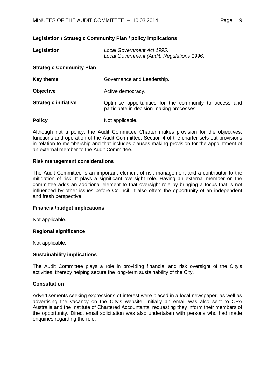## **Legislation / Strategic Community Plan / policy implications**

| Legislation                     | Local Government Act 1995.<br>Local Government (Audit) Regulations 1996.                            |
|---------------------------------|-----------------------------------------------------------------------------------------------------|
| <b>Strategic Community Plan</b> |                                                                                                     |
| Key theme                       | Governance and Leadership.                                                                          |
| <b>Objective</b>                | Active democracy.                                                                                   |
| <b>Strategic initiative</b>     | Optimise opportunities for the community to access and<br>participate in decision-making processes. |
| <b>Policy</b>                   | Not applicable.                                                                                     |

Although not a policy, the Audit Committee Charter makes provision for the objectives, functions and operation of the Audit Committee. Section 4 of the charter sets out provisions in relation to membership and that includes clauses making provision for the appointment of an external member to the Audit Committee.

#### **Risk management considerations**

The Audit Committee is an important element of risk management and a contributor to the mitigation of risk. It plays a significant oversight role. Having an external member on the committee adds an additional element to that oversight role by bringing a focus that is not influenced by other issues before Council. It also offers the opportunity of an independent and fresh perspective.

#### **Financial/budget implications**

Not applicable.

#### **Regional significance**

Not applicable.

#### **Sustainability implications**

The Audit Committee plays a role in providing financial and risk oversight of the City's activities, thereby helping secure the long-term sustainability of the City.

## **Consultation**

Advertisements seeking expressions of interest were placed in a local newspaper, as well as advertising the vacancy on the City's website. Initially an email was also sent to CPA Australia and the Institute of Chartered Accountants, requesting they inform their members of the opportunity. Direct email solicitation was also undertaken with persons who had made enquiries regarding the role.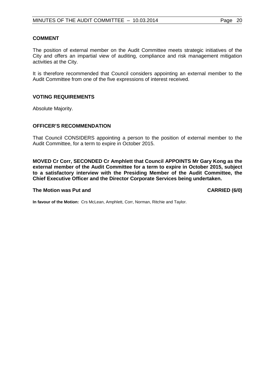#### **COMMENT**

The position of external member on the Audit Committee meets strategic initiatives of the City and offers an impartial view of auditing, compliance and risk management mitigation activities at the City.

It is therefore recommended that Council considers appointing an external member to the Audit Committee from one of the five expressions of interest received.

#### **VOTING REQUIREMENTS**

Absolute Majority.

#### **OFFICER'S RECOMMENDATION**

That Council CONSIDERS appointing a person to the position of external member to the Audit Committee, for a term to expire in October 2015.

**MOVED Cr Corr, SECONDED Cr Amphlett that Council APPOINTS Mr Gary Kong as the external member of the Audit Committee for a term to expire in October 2015, subject to a satisfactory interview with the Presiding Member of the Audit Committee, the Chief Executive Officer and the Director Corporate Services being undertaken.**

#### **The Motion was Put and CARRIED (6/0)**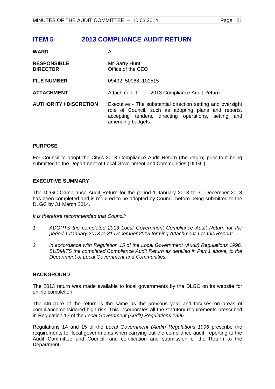## <span id="page-20-0"></span>**ITEM 5 2013 COMPLIANCE AUDIT RETURN**

| <b>WARD</b>                           | All                                                                                                                                                                                                 |
|---------------------------------------|-----------------------------------------------------------------------------------------------------------------------------------------------------------------------------------------------------|
| <b>RESPONSIBLE</b><br><b>DIRECTOR</b> | Mr Garry Hunt<br>Office of the CEO                                                                                                                                                                  |
| <b>FILE NUMBER</b>                    | 09492, 50068, 101515                                                                                                                                                                                |
| <b>ATTACHMENT</b>                     | Attachment 1<br>2013 Compliance Audit Return                                                                                                                                                        |
| <b>AUTHORITY / DISCRETION</b>         | Executive - The substantial direction setting and oversight<br>role of Council, such as adopting plans and reports,<br>accepting tenders, directing operations, setting<br>and<br>amending budgets. |

## **PURPOSE**

For Council to adopt the City's 2013 Compliance Audit Return (the return) prior to it being submitted to the Department of Local Government and Communities (DLGC).

## **EXECUTIVE SUMMARY**

The DLGC Compliance Audit Return for the period 1 January 2013 to 31 December 2013 has been completed and is required to be adopted by Council before being submitted to the DLGC by 31 March 2014.

*It is therefore recommended that Council:*

- *1 ADOPTS the completed 2013 Local Government Compliance Audit Return for the period 1 January 2013 to 31 December 2013 forming Attachment 1 to this Report;*
- *2 in accordance with Regulation 15 of the Local Government (Audit) Regulations 1996, SUBMITS the completed Compliance Audit Return as detailed in Part 1 above, to the Department of Local Government and Communities.*

## **BACKGROUND**

The 2013 return was made available to local governments by the DLGC on its website for online completion.

The structure of the return is the same as the previous year and focuses on areas of compliance considered high risk. This incorporates all the statutory requirements prescribed in Regulation 13 of the *Local Government (Audit) Regulations 1996.*

Regulations 14 and 15 of the *Local Government (Audit) Regulations 1996* prescribe the requirements for local governments when carrying out the compliance audit, reporting to the Audit Committee and Council, and certification and submission of the Return to the Department.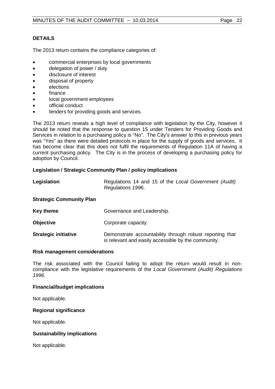## **DETAILS**

The 2013 return contains the compliance categories of:

- commercial enterprises by local governments
- delegation of power / duty
- disclosure of interest
- disposal of property
- elections
- finance
- local government employees
- official conduct
- tenders for providing goods and services.

The 2013 return reveals a high level of compliance with legislation by the City, however it should be noted that the response to question 15 under Tenders for Providing Goods and Services in relation to a purchasing policy is "No". The City's answer to this in previous years was "Yes" as there were detailed protocols in place for the supply of goods and services. It has become clear that this does not fulfil the requirements of Regulation 11A of having a current purchasing policy. The City is in the process of developing a purchasing policy for adoption by Council.

## **Legislation / Strategic Community Plan / policy implications**

| Legislation                     | Regulations 14 and 15 of the Local Government (Audit)<br>Regulations 1996.                                      |
|---------------------------------|-----------------------------------------------------------------------------------------------------------------|
| <b>Strategic Community Plan</b> |                                                                                                                 |
| <b>Key theme</b>                | Governance and Leadership.                                                                                      |
| <b>Objective</b>                | Corporate capacity.                                                                                             |
| <b>Strategic initiative</b>     | Demonstrate accountability through robust reporting that<br>is relevant and easily accessible by the community. |

#### **Risk management considerations**

The risk associated with the Council failing to adopt the return would result in noncompliance with the legislative requirements of the *Local Government (Audit) Regulations 1996*.

#### **Financial/budget implications**

Not applicable.

#### **Regional significance**

Not applicable.

## **Sustainability implications**

Not applicable.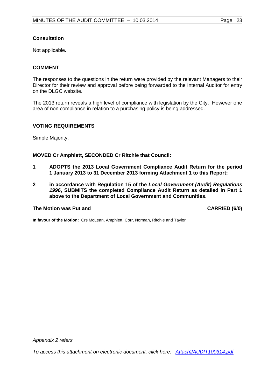## **Consultation**

Not applicable.

## **COMMENT**

The responses to the questions in the return were provided by the relevant Managers to their Director for their review and approval before being forwarded to the Internal Auditor for entry on the DLGC website.

The 2013 return reveals a high level of compliance with legislation by the City. However one area of non compliance in relation to a purchasing policy is being addressed.

## **VOTING REQUIREMENTS**

Simple Majority.

**MOVED Cr Amphlett, SECONDED Cr Ritchie that Council:**

- **1 ADOPTS the 2013 Local Government Compliance Audit Return for the period 1 January 2013 to 31 December 2013 forming Attachment 1 to this Report;**
- **2 in accordance with Regulation 15 of the** *Local Government (Audit) Regulations 1996***, SUBMITS the completed Compliance Audit Return as detailed in Part 1 above to the Department of Local Government and Communities.**

#### The Motion was Put and **CARRIED** (6/0)

**In favour of the Motion:** Crs McLean, Amphlett, Corr, Norman, Ritchie and Taylor.

*Appendix 2 refers*

*[To access this attachment on electronic document, click here: Attach2AUDIT100314.pdf](Attach2AUDIT100314.pdf)*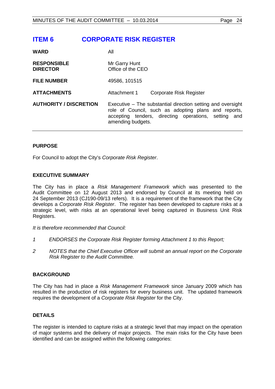## <span id="page-23-0"></span>**ITEM 6 CORPORATE RISK REGISTER**

| <b>WARD</b>                           | All                                                                                                                                                                                              |
|---------------------------------------|--------------------------------------------------------------------------------------------------------------------------------------------------------------------------------------------------|
| <b>RESPONSIBLE</b><br><b>DIRECTOR</b> | Mr Garry Hunt<br>Office of the CEO                                                                                                                                                               |
| <b>FILE NUMBER</b>                    | 49586, 101515                                                                                                                                                                                    |
| <b>ATTACHMENTS</b>                    | Attachment 1<br>Corporate Risk Register                                                                                                                                                          |
| <b>AUTHORITY / DISCRETION</b>         | Executive – The substantial direction setting and oversight<br>role of Council, such as adopting plans and reports,<br>accepting tenders, directing operations, setting and<br>amending budgets. |

## **PURPOSE**

For Council to adopt the City's *Corporate Risk Register*.

## **EXECUTIVE SUMMARY**

The City has in place a *Risk Management Framework* which was presented to the Audit Committee on 12 August 2013 and endorsed by Council at its meeting held on 24 September 2013 (CJ190-09/13 refers). It is a requirement of the framework that the City develops a *Corporate Risk Register*. The register has been developed to capture risks at a strategic level, with risks at an operational level being captured in Business Unit Risk Registers.

*It is therefore recommended that Council:*

- *1 ENDORSES the Corporate Risk Register forming Attachment 1 to this Report;*
- *2 NOTES that the Chief Executive Officer will submit an annual report on the Corporate Risk Register to the Audit Committee.*

#### **BACKGROUND**

The City has had in place a *Risk Management Framework* since January 2009 which has resulted in the production of risk registers for every business unit. The updated framework requires the development of a *Corporate Risk Register* for the City.

## **DETAILS**

The register is intended to capture risks at a strategic level that may impact on the operation of major systems and the delivery of major projects. The main risks for the City have been identified and can be assigned within the following categories: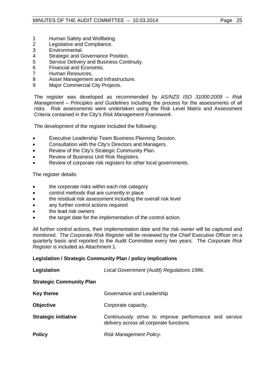- 1 Human Safety and Wellbeing.<br>2 Legislative and Compliance.
- 2 Legislative and Compliance.<br>3 Environmental.
- Environmental.
- 4 Strategic and Governance Position.<br>5 Service Delivery and Business Cont
- 5 Service Delivery and Business Continuity.<br>6 Financial and Economic.
- 6 Financial and Economic.<br>7 Human Resources.
- 7 Human Resources.<br>8 Asset Management
- 8 Asset Management and Infrastructure.<br>9 Maior Commercial City Projects.
- Major Commercial City Projects.

The register was developed as recommended by *AS/NZS ISO 31000:2009 – Risk Management – Principles and Guidelines* including the process for the assessments of all risks. Risk assessments were undertaken using the Risk Level Matrix and Assessment Criteria contained in the City's *Risk Management Framework.*

The development of the register included the following:

- Executive Leadership Team Business Planning Session.
- Consultation with the City's Directors and Managers.
- Review of the City's Strategic Community Plan.
- Review of Business Unit Risk Registers.
- Review of corporate risk registers for other local governments.

The register details:

- the corporate risks within each risk category
- control methods that are currently in place
- the residual risk assessment including the overall risk level
- any further control actions required
- the lead risk owners
- the target date for the implementation of the control action.

All further control actions, their implementation date and the risk owner will be captured and monitored. The *Corporate Risk Register* will be reviewed by the Chief Executive Officer on a quarterly basis and reported to the Audit Committee every two years. The *Corporate Risk Register* is included as Attachment 1.

## **Legislation / Strategic Community Plan / policy implications**

| Legislation                     | Local Government (Audit) Regulations 1996.                                                         |
|---------------------------------|----------------------------------------------------------------------------------------------------|
| <b>Strategic Community Plan</b> |                                                                                                    |
| <b>Key theme</b>                | Governance and Leadership                                                                          |
| <b>Objective</b>                | Corporate capacity.                                                                                |
| <b>Strategic initiative</b>     | Continuously strive to improve performance and service<br>delivery across all corporate functions. |
| <b>Policy</b>                   | Risk Management Policy.                                                                            |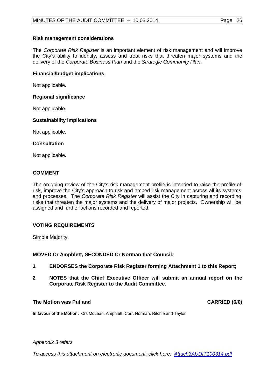## **Risk management considerations**

The *Corporate Risk Register* is an important element of risk management and will improve the City's ability to identify, assess and treat risks that threaten major systems and the delivery of the *Corporate Business Plan* and the *Strategic Community Plan*.

## **Financial/budget implications**

Not applicable.

## **Regional significance**

Not applicable.

## **Sustainability implications**

Not applicable.

## **Consultation**

Not applicable.

## **COMMENT**

The on-going review of the City's risk management profile is intended to raise the profile of risk, improve the City's approach to risk and embed risk management across all its systems and processes. The *Corporate Risk Register* will assist the City in capturing and recording risks that threaten the major systems and the delivery of major projects. Ownership will be assigned and further actions recorded and reported.

## **VOTING REQUIREMENTS**

Simple Majority.

**MOVED Cr Amphlett, SECONDED Cr Norman that Council:**

- **1 ENDORSES the Corporate Risk Register forming Attachment 1 to this Report;**
- **2 NOTES that the Chief Executive Officer will submit an annual report on the Corporate Risk Register to the Audit Committee.**

## **The Motion was Put and CARRIED (6/0)**

**In favour of the Motion:** Crs McLean, Amphlett, Corr, Norman, Ritchie and Taylor.

## *Appendix 3 refers*

*[To access this attachment on electronic document, click here: Attach3AUDIT100314.pdf](Attach3AUDIT100314.pdf)*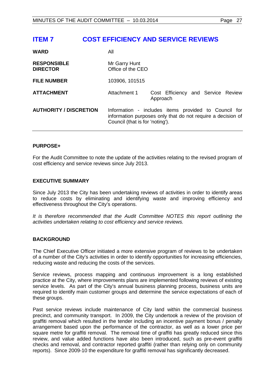## <span id="page-26-0"></span>**ITEM 7 COST EFFICIENCY AND SERVICE REVIEWS**

| <b>WARD</b>                           | All                                |                                                                                                                     |
|---------------------------------------|------------------------------------|---------------------------------------------------------------------------------------------------------------------|
| <b>RESPONSIBLE</b><br><b>DIRECTOR</b> | Mr Garry Hunt<br>Office of the CEO |                                                                                                                     |
| <b>FILE NUMBER</b>                    | 103906, 101515                     |                                                                                                                     |
| <b>ATTACHMENT</b>                     | Attachment 1                       | Cost Efficiency and Service Review<br>Approach                                                                      |
| <b>AUTHORITY / DISCRETION</b>         | Council (that is for 'noting').    | Information - includes items provided to Council for<br>information purposes only that do not require a decision of |

#### **PURPOSE+**

For the Audit Committee to note the update of the activities relating to the revised program of cost efficiency and service reviews since July 2013.

## **EXECUTIVE SUMMARY**

Since July 2013 the City has been undertaking reviews of activities in order to identify areas to reduce costs by eliminating and identifying waste and improving efficiency and effectiveness throughout the City's operations.

*It is therefore recommended that the Audit Committee NOTES this report outlining the activities undertaken relating to cost efficiency and service reviews.*

## **BACKGROUND**

The Chief Executive Officer initiated a more extensive program of reviews to be undertaken of a number of the City's activities in order to identify opportunities for increasing efficiencies, reducing waste and reducing the costs of the services.

Service reviews, process mapping and continuous improvement is a long established practice at the City, where improvements plans are implemented following reviews of existing service levels. As part of the City's annual business planning process, business units are required to identify main customer groups and determine the service expectations of each of these groups.

Past service reviews include maintenance of City land within the commercial business precinct, and community transport. In 2009, the City undertook a review of the provision of graffiti removal which resulted in the tender including an incentive payment bonus / penalty arrangement based upon the performance of the contractor, as well as a lower price per square metre for graffiti removal. The removal time of graffiti has greatly reduced since this review, and value added functions have also been introduced, such as pre-event graffiti checks and removal, and contractor reported graffiti (rather than relying only on community reports). Since 2009-10 the expenditure for graffiti removal has significantly decreased.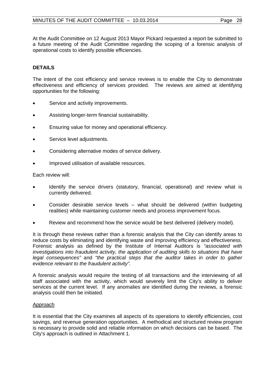At the Audit Committee on 12 August 2013 Mayor Pickard requested a report be submitted to a future meeting of the Audit Committee regarding the scoping of a forensic analysis of operational costs to identify possible efficiencies.

## **DETAILS**

The intent of the cost efficiency and service reviews is to enable the City to demonstrate effectiveness and efficiency of services provided. The reviews are aimed at identifying opportunities for the following:

- Service and activity improvements.
- Assisting longer-term financial sustainability.
- Ensuring value for money and operational efficiency.
- Service level adjustments.
- Considering alternative modes of service delivery.
- Improved utilisation of available resources.

Each review will:

- Identify the service drivers (statutory, financial, operational) and review what is currently delivered.
- Consider desirable service levels what should be delivered (within budgeting realities) while maintaining customer needs and process improvement focus.
- Review and recommend how the service would be best delivered (delivery model).

It is through these reviews rather than a forensic analysis that the City can identify areas to reduce costs by eliminating and identifying waste and improving efficiency and effectiveness. Forensic analysis as defined by the Institute of Internal Auditors is *"associated with investigations into fraudulent activity, the application of auditing skills to situations that have legal consequences"* and *"the practical steps that the auditor takes in order to gather evidence relevant to the fraudulent activity".* 

A forensic analysis would require the testing of all transactions and the interviewing of all staff associated with the activity, which would severely limit the City's ability to deliver services at the current level. If any anomalies are identified during the reviews, a forensic analysis could then be initiated.

## Approach

It is essential that the City examines all aspects of its operations to identify efficiencies, cost savings, and revenue generation opportunities. A methodical and structured review program is necessary to provide solid and reliable information on which decisions can be based. The City's approach is outlined in Attachment 1.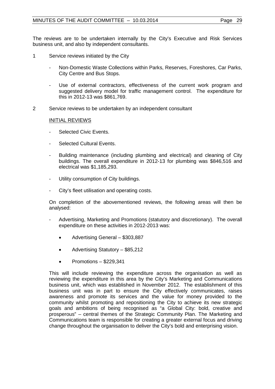The reviews are to be undertaken internally by the City's Executive and Risk Services business unit, and also by independent consultants.

- 1 Service reviews initiated by the City
	- Non-Domestic Waste Collections within Parks, Reserves, Foreshores, Car Parks, City Centre and Bus Stops.
	- Use of external contractors, effectiveness of the current work program and suggested delivery model for traffic management control. The expenditure for this in 2012-13 was \$861,769.
- 2 Service reviews to be undertaken by an independent consultant

#### INITIAL REVIEWS

- Selected Civic Events.
- Selected Cultural Events.
- Building maintenance (including plumbing and electrical) and cleaning of City buildings. The overall expenditure in 2012-13 for plumbing was \$846,516 and electrical was \$1,185,293.
- Utility consumption of City buildings.
- City's fleet utilisation and operating costs.

On completion of the abovementioned reviews, the following areas will then be analysed:

- Advertising, Marketing and Promotions (statutory and discretionary). The overall expenditure on these activities in 2012-2013 was:
	- Advertising General \$303,887
	- Advertising Statutory \$85,212
	- Promotions  $-$  \$229,341

This will include reviewing the expenditure across the organisation as well as reviewing the expenditure in this area by the City's Marketing and Communications business unit, which was established in November 2012. The establishment of this business unit was in part to ensure the City effectively communicates, raises awareness and promote its services and the value for money provided to the community whilst promoting and repositioning the City to achieve its new strategic goals and ambitions of being recognised as "a Global City: bold, creative and prosperous" – central themes of the Strategic Community Plan. The Marketing and Communications team is responsible for creating a greater external focus and driving change throughout the organisation to deliver the City's bold and enterprising vision.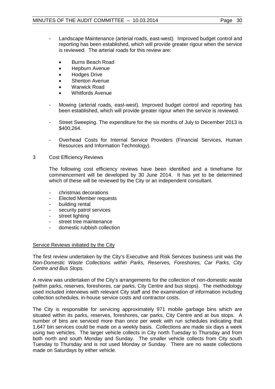- Landscape Maintenance (arterial roads, east-west). Improved budget control and reporting has been established, which will provide greater rigour when the service is reviewed. The arterial roads for this review are:
	- Burns Beach Road
	- Hepburn Avenue
	- **Hodges Drive**
	- Shenton Avenue
	- Warwick Road
	- Whitfords Avenue
- Mowing (arterial roads, east-west). Improved budget control and reporting has been established, which will provide greater rigour when the service is reviewed.
- Street Sweeping. The expenditure for the six months of July to December 2013 is \$400,264.
- Overhead Costs for Internal Service Providers (Financial Services, Human Resources and Information Technology).
- 3 Cost Efficiency Reviews

The following cost efficiency reviews have been identified and a timeframe for commencement will be developed by 30 June 2014. It has yet to be determined which of these will be reviewed by the City or an independent consultant.

- christmas decorations
- Elected Member requests
- building rental
- security patrol services
- street lighting
- street tree maintenance
- domestic rubbish collection

#### Service Reviews initiated by the City

The first review undertaken by the City's Executive and Risk Services business unit was the *Non-Domestic Waste Collections within Parks, Reserves, Foreshores, Car Parks, City Centre and Bus Stops.*

A review was undertaken of the City's arrangements for the collection of non-domestic waste (within parks, reserves, foreshores, car parks, City Centre and bus stops). The methodology used included interviews with relevant City staff and the examination of information including collection schedules, in-house service costs and contractor costs.

The City is responsible for servicing approximately 971 mobile garbage bins which are situated within its parks, reserves, foreshores, car parks, City Centre and at bus stops. A number of bins are serviced more than once per week with run schedules indicating that 1,647 bin services could be made on a weekly basis. Collections are made six days a week using two vehicles. The larger vehicle collects in City north Tuesday to Thursday and from both north and south Monday and Sunday. The smaller vehicle collects from City south Tuesday to Thursday and is not used Monday or Sunday. There are no waste collections made on Saturdays by either vehicle.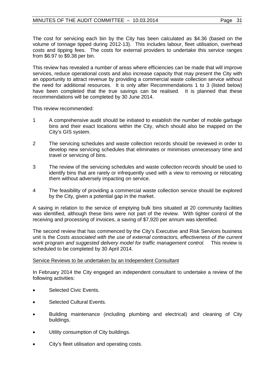The cost for servicing each bin by the City has been calculated as \$4.36 (based on the volume of tonnage tipped during 2012-13). This includes labour, fleet utilisation, overhead costs and tipping fees. The costs for external providers to undertake this service ranges from \$6.97 to \$9.38 per bin.

This review has revealed a number of areas where efficiencies can be made that will improve services, reduce operational costs and also increase capacity that may present the City with an opportunity to attract revenue by providing a commercial waste collection service without the need for additional resources. It is only after Recommendations 1 to 3 (listed below) have been completed that the true savings can be realised. It is planned that these recommendations will be completed by 30 June 2014.

This review recommended:

- 1 A comprehensive audit should be initiated to establish the number of mobile garbage bins and their exact locations within the City, which should also be mapped on the City's GIS system.
- 2 The servicing schedules and waste collection records should be reviewed in order to develop new servicing schedules that eliminates or minimises unnecessary time and travel or servicing of bins.
- 3 The review of the servicing schedules and waste collection records should be used to identify bins that are rarely or infrequently used with a view to removing or relocating them without adversely impacting on service.
- 4 The feasibility of providing a commercial waste collection service should be explored by the City, given a potential gap in the market.

A saving in relation to the service of emptying bulk bins situated at 20 community facilities was identified, although these bins were not part of the review. With tighter control of the receiving and processing of invoices, a saving of \$7,920 per annum was identified.

The second review that has commenced by the City's Executive and Risk Services business unit is the *Costs associated with the use of external contractors, effectiveness of the current work program and suggested delivery model for traffic management control.* This review is scheduled to be completed by 30 April 2014.

## Service Reviews to be undertaken by an Independent Consultant

In February 2014 the City engaged an independent consultant to undertake a review of the following activities:

- Selected Civic Events.
- Selected Cultural Events.
- Building maintenance (including plumbing and electrical) and cleaning of City buildings.
- Utility consumption of City buildings.
- City's fleet utilisation and operating costs.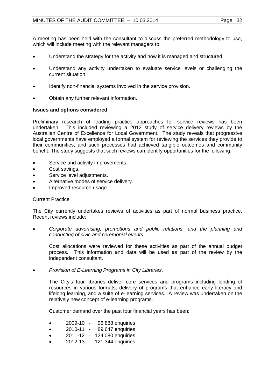A meeting has been held with the consultant to discuss the preferred methodology to use, which will include meeting with the relevant managers to:

- Understand the strategy for the activity and how it is managed and structured.
- Understand any activity undertaken to evaluate service levels or challenging the current situation.
- Identify non-financial systems involved in the service provision.
- Obtain any further relevant information.

## **Issues and options considered**

Preliminary research of leading practice approaches for service reviews has been undertaken. This included reviewing a 2012 study of service delivery reviews by the Australian Centre of Excellence for Local Government. The study reveals that progressive local governments have employed a formal system for reviewing the services they provide to their communities, and such processes had achieved tangible outcomes and community benefit. The study suggests that such reviews can identify opportunities for the following:

- Service and activity improvements.
- Cost savings.
- Service level adjustments.
- Alternative modes of service delivery.
- Improved resource usage.

## **Current Practice**

The City currently undertakes reviews of activities as part of normal business practice. Recent reviews include:

• *Corporate advertising, promotions and public relations, and the planning and conducting of civic and ceremonial events.*

Cost allocations were reviewed for these activities as part of the annual budget process. This information and data will be used as part of the review by the independent consultant.

• *Provision of E-Learning Programs in City Libraries.*

The City's four libraries deliver core services and programs including lending of resources in various formats, delivery of programs that enhance early literacy and lifelong learning, and a suite of e-learning services. A review was undertaken on the relatively new concept of e-learning programs.

Customer demand over the past four financial years has been:

- 2009-10 96,888 enquiries
- 2010-11 89,647 enquiries
- 2011-12 124,080 enquiries
- 2012-13 121,344 enquiries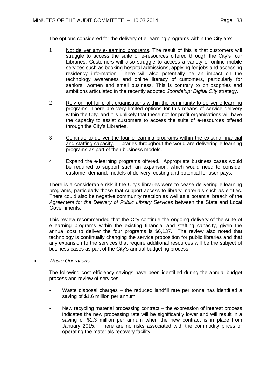The options considered for the delivery of e-learning programs within the City are:

- 1 Not deliver any e-learning programs. The result of this is that customers will struggle to access the suite of e-resources offered through the City's four Libraries. Customers will also struggle to access a variety of online mobile services such as booking hospital admissions, applying for jobs and accessing residency information. There will also potentially be an impact on the technology awareness and online literacy of customers, particularly for seniors, women and small business. This is contrary to philosophies and ambitions articulated in the recently adopted *Joondalup: Digital City* strategy.
- 2 Rely on not-for-profit organisations within the community to deliver e-learning programs. There are very limited options for this means of service delivery within the City, and it is unlikely that these not-for-profit organisations will have the capacity to assist customers to access the suite of e-resources offered through the City's Libraries.
- 3 Continue to deliver the four e-learning programs within the existing financial and staffing capacity. Libraries throughout the world are delivering e-learning programs as part of their business models.
- 4 Expand the e-learning programs offered.Appropriate business cases would be required to support such an expansion, which would need to consider customer demand, models of delivery, costing and potential for user-pays.

There is a considerable risk if the City's libraries were to cease delivering e-learning programs, particularly those that support access to library materials such as e-titles. There could also be negative community reaction as well as a potential breach of the *Agreement for the Delivery of Public Library Services* between the State and Local Governments.

This review recommended that the City continue the ongoing delivery of the suite of e-learning programs within the existing financial and staffing capacity, given the annual cost to deliver the four programs is \$6,137. The review also noted that technology is continually changing the service proposition for public libraries and that any expansion to the services that require additional resources will be the subject of business cases as part of the City's annual budgeting process.

• *Waste Operations*

The following cost efficiency savings have been identified during the annual budget process and review of services:

- Waste disposal charges the reduced landfill rate per tonne has identified a saving of \$1.6 million per annum.
- New recycling material processing contract the expression of interest process indicates the new processing rate will be significantly lower and will result in a saving of \$1.3 million per annum when the new contract is in place from January 2015. There are no risks associated with the commodity prices or operating the materials recovery facility.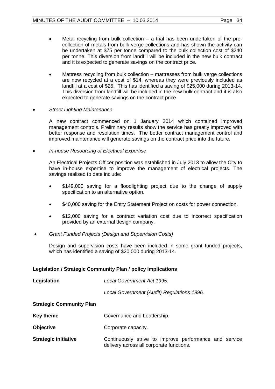- Metal recycling from bulk collection a trial has been undertaken of the precollection of metals from bulk verge collections and has shown the activity can be undertaken at \$75 per tonne compared to the bulk collection cost of \$240 per tonne. This diversion from landfill will be included in the new bulk contract and it is expected to generate savings on the contract price.
- Mattress recycling from bulk collection mattresses from bulk verge collections are now recycled at a cost of \$14, whereas they were previously included as landfill at a cost of \$25. This has identified a saving of \$25,000 during 2013-14. This diversion from landfill will be included in the new bulk contract and it is also expected to generate savings on the contract price.
- *Street Lighting Maintenance*

A new contract commenced on 1 January 2014 which contained improved management controls. Preliminary results show the service has greatly improved with better response and resolution times. The better contract management control and improved maintenance will generate savings on the contract price into the future.

• *In-house Resourcing of Electrical Expertise*

An Electrical Projects Officer position was established in July 2013 to allow the City to have in-house expertise to improve the management of electrical projects. The savings realised to date include:

- \$149,000 saving for a floodlighting project due to the change of supply specification to an alternative option.
- \$40,000 saving for the Entry Statement Project on costs for power connection.
- \$12,000 saving for a contract variation cost due to incorrect specification provided by an external design company.
- *Grant Funded Projects (Design and Supervision Costs)*

Design and supervision costs have been included in some grant funded projects, which has identified a saving of \$20,000 during 2013-14.

## **Legislation / Strategic Community Plan / policy implications**

| Legislation                     | Local Government Act 1995.                                                                         |  |
|---------------------------------|----------------------------------------------------------------------------------------------------|--|
|                                 | Local Government (Audit) Regulations 1996.                                                         |  |
| <b>Strategic Community Plan</b> |                                                                                                    |  |
| <b>Key theme</b>                | Governance and Leadership.                                                                         |  |
| <b>Objective</b>                | Corporate capacity.                                                                                |  |
| <b>Strategic initiative</b>     | Continuously strive to improve performance and service<br>delivery across all corporate functions. |  |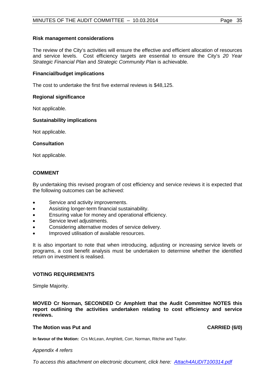## **Risk management considerations**

The review of the City's activities will ensure the effective and efficient allocation of resources and service levels. Cost efficiency targets are essential to ensure the City's *20 Year Strategic Financial Plan* and *Strategic Community Plan* is achievable.

## **Financial/budget implications**

The cost to undertake the first five external reviews is \$48,125.

## **Regional significance**

Not applicable.

## **Sustainability implications**

Not applicable.

## **Consultation**

Not applicable.

## **COMMENT**

By undertaking this revised program of cost efficiency and service reviews it is expected that the following outcomes can be achieved:

- Service and activity improvements.
- Assisting longer-term financial sustainability.
- Ensuring value for money and operational efficiency.
- Service level adjustments.
- Considering alternative modes of service delivery.
- Improved utilisation of available resources.

It is also important to note that when introducing, adjusting or increasing service levels or programs, a cost benefit analysis must be undertaken to determine whether the identified return on investment is realised.

## **VOTING REQUIREMENTS**

Simple Majority.

**MOVED Cr Norman, SECONDED Cr Amphlett that the Audit Committee NOTES this report outlining the activities undertaken relating to cost efficiency and service reviews.**

## **The Motion was Put and CARRIED (6/0) CARRIED (6/0)**

**In favour of the Motion:** Crs McLean, Amphlett, Corr, Norman, Ritchie and Taylor.

## *Appendix 4 refers*

*[To access this attachment on electronic document, click here: Attach4AUDIT100314.pdf](Attach4AUDIT100314.pdf)*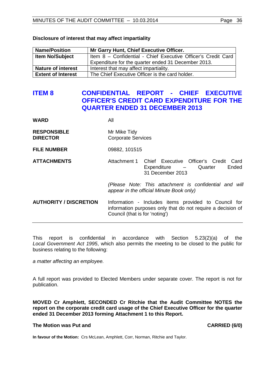| <b>Name/Position</b>      | Mr Garry Hunt, Chief Executive Officer.                       |
|---------------------------|---------------------------------------------------------------|
| Item No/Subject           | Item 8 - Confidential - Chief Executive Officer's Credit Card |
|                           | Expenditure for the quarter ended 31 December 2013.           |
| <b>Nature of interest</b> | Interest that may affect impartiality.                        |
| <b>Extent of Interest</b> | The Chief Executive Officer is the card holder.               |

#### **Disclosure of interest that may affect impartiality**

## <span id="page-35-0"></span>**ITEM 8 CONFIDENTIAL REPORT - CHIEF EXECUTIVE OFFICER'S CREDIT CARD EXPENDITURE FOR THE QUARTER ENDED 31 DECEMBER 2013**

| <b>WARD</b>                           | All                                       |                                                                                                                     |
|---------------------------------------|-------------------------------------------|---------------------------------------------------------------------------------------------------------------------|
| <b>RESPONSIBLE</b><br><b>DIRECTOR</b> | Mr Mike Tidy<br><b>Corporate Services</b> |                                                                                                                     |
| <b>FILE NUMBER</b>                    | 09882, 101515                             |                                                                                                                     |
| <b>ATTACHMENTS</b>                    |                                           | Attachment 1 Chief Executive Officer's Credit Card<br>Ended<br>Expenditure – Quarter<br>31 December 2013            |
|                                       |                                           | (Please Note: This attachment is confidential and will<br>appear in the official Minute Book only)                  |
| <b>AUTHORITY / DISCRETION</b>         | Council (that is for 'noting')            | Information - Includes items provided to Council for<br>information purposes only that do not require a decision of |
|                                       |                                           |                                                                                                                     |

This report is confidential in accordance with Section 5.23(2)(a) of the *Local Government Act 1995*, which also permits the meeting to be closed to the public for business relating to the following:

*a matter affecting an employee.*

A full report was provided to Elected Members under separate cover. The report is not for publication.

**MOVED Cr Amphlett, SECONDED Cr Ritchie that the Audit Committee NOTES the report on the corporate credit card usage of the Chief Executive Officer for the quarter ended 31 December 2013 forming Attachment 1 to this Report.**

#### The Motion was Put and **CARRIED** (6/0)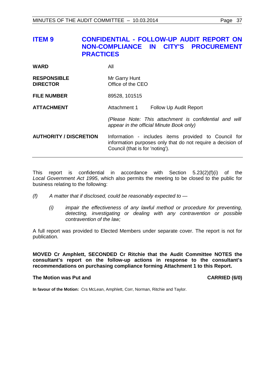## <span id="page-36-0"></span>**ITEM 9 CONFIDENTIAL - FOLLOW-UP AUDIT REPORT ON NON-COMPLIANCE IN CITY'S PROCUREMENT PRACTICES**

| <b>WARD</b>                           | All                                                                                                                                                    |
|---------------------------------------|--------------------------------------------------------------------------------------------------------------------------------------------------------|
| <b>RESPONSIBLE</b><br><b>DIRECTOR</b> | Mr Garry Hunt<br>Office of the CEO                                                                                                                     |
| <b>FILE NUMBER</b>                    | 89528, 101515                                                                                                                                          |
| <b>ATTACHMENT</b>                     | Attachment 1<br><b>Follow Up Audit Report</b>                                                                                                          |
|                                       | (Please Note: This attachment is confidential and will<br>appear in the official Minute Book only)                                                     |
| <b>AUTHORITY / DISCRETION</b>         | Information - includes items provided to Council for<br>information purposes only that do not require a decision of<br>Council (that is for 'noting'). |

This report is confidential in accordance with Section  $5.23(2)(f)(i)$  of the *Local Government Act 1995*, which also permits the meeting to be closed to the public for business relating to the following:

- *(f) A matter that if disclosed, could be reasonably expected to —*
	- *(i) impair the effectiveness of any lawful method or procedure for preventing, detecting, investigating or dealing with any contravention or possible contravention of the law;*

A full report was provided to Elected Members under separate cover. The report is not for publication.

**MOVED Cr Amphlett, SECONDED Cr Ritchie that the Audit Committee NOTES the consultant's report on the follow-up actions in response to the consultant's recommendations on purchasing compliance forming Attachment 1 to this Report.**

#### **The Motion was Put and CARRIED (6/0) CARRIED (6/0)**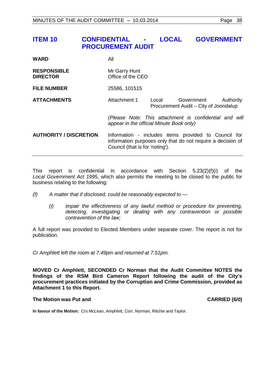## <span id="page-37-0"></span>**ITEM 10 CONFIDENTIAL - LOCAL GOVERNMENT PROCUREMENT AUDIT**

**WARD** All **RESPONSIBLE** Mr Garry Hunt<br> **DIRECTOR** Office of the C **Diffice of the CEO FILE NUMBER** 25586, 101515 **ATTACHMENTS** Attachment 1 Local Government Authority Procurement Audit – City of Joondalup *(Please Note: This attachment is confidential and will appear in the official Minute Book only)* **AUTHORITY / DISCRETION** Information - includes items provided to Council for information purposes only that do not require a decision of Council (that is for 'noting').

This report is confidential in accordance with Section 5.23(2)(f)(i) of the *Local Government Act 1995*, which also permits the meeting to be closed to the public for business relating to the following:

- *(f) A matter that if disclosed, could be reasonably expected to —*
	- *(i) impair the effectiveness of any lawful method or procedure for preventing, detecting, investigating or dealing with any contravention or possible contravention of the law;*

A full report was provided to Elected Members under separate cover. The report is not for publication.

*Cr Amphlett left the room at 7.49pm and returned at 7.51pm.*

**MOVED Cr Amphlett, SECONDED Cr Norman that the Audit Committee NOTES the findings of the RSM Bird Cameron Report following the audit of the City's procurement practices initiated by the Corruption and Crime Commission, provided as Attachment 1 to this Report.**

#### The Motion was Put and **CARRIED** (6/0)